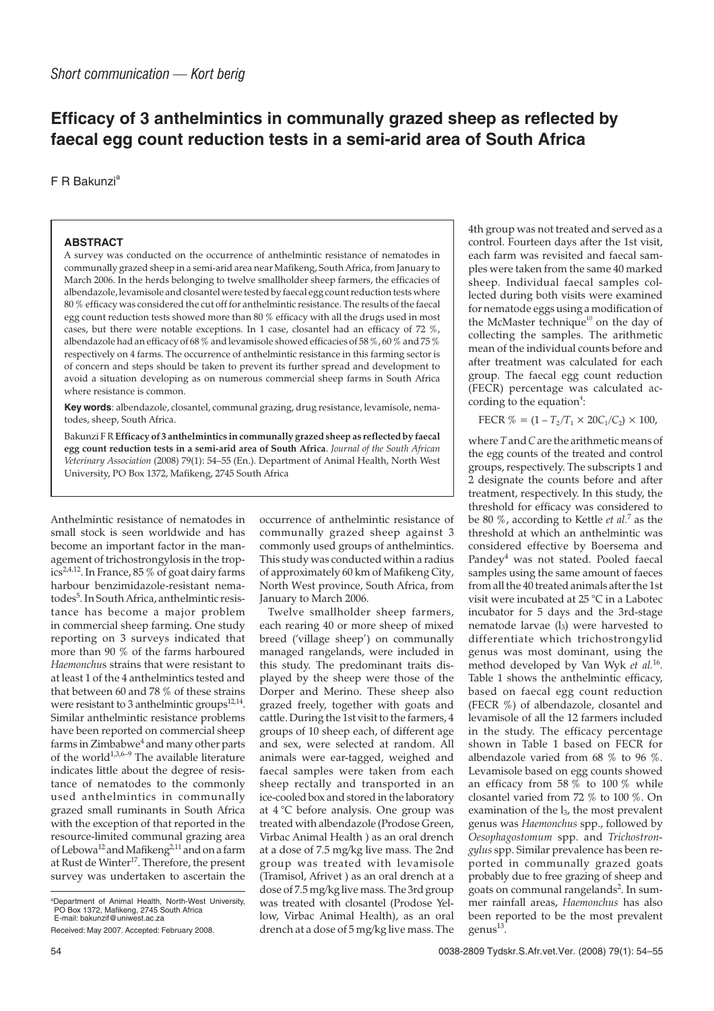## **Efficacy of 3 anthelmintics in communally grazed sheep as reflected by faecal egg count reduction tests in a semi-arid area of South Africa**

F R Bakunzi<sup>a</sup>

## **ABSTRACT**

A survey was conducted on the occurrence of anthelmintic resistance of nematodes in communally grazed sheep in a semi-arid area near Mafikeng, South Africa, from January to March 2006. In the herds belonging to twelve smallholder sheep farmers, the efficacies of albendazole, levamisole and closantel were tested by faecal egg count reduction tests where 80 % efficacy was considered the cut off for anthelmintic resistance. The results of the faecal egg count reduction tests showed more than 80 % efficacy with all the drugs used in most cases, but there were notable exceptions. In 1 case, closantel had an efficacy of 72 %, albendazole had an efficacy of 68 % and levamisole showed efficacies of 58 %, 60 % and 75 % respectively on 4 farms. The occurrence of anthelmintic resistance in this farming sector is of concern and steps should be taken to prevent its further spread and development to avoid a situation developing as on numerous commercial sheep farms in South Africa where resistance is common.

**Key words**: albendazole, closantel, communal grazing, drug resistance, levamisole, nematodes, sheep, South Africa.

Bakunzi F R**Efficacy of 3 anthelmintics in communally grazed sheep as reflected by faecal egg count reduction tests in a semi-arid area of South Africa**. *Journal of the South African Veterinary Association* (2008) 79(1): 54–55 (En.). Department of Animal Health, North West University, PO Box 1372, Mafikeng, 2745 South Africa

Anthelmintic resistance of nematodes in small stock is seen worldwide and has become an important factor in the management of trichostrongylosis in the tropics2,4,12. In France, 85 % of goat dairy farms harbour benzimidazole-resistant nematodes<sup>5</sup>. In South Africa, anthelmintic resistance has become a major problem in commercial sheep farming. One study reporting on 3 surveys indicated that more than 90 % of the farms harboured *Haemonchu*s strains that were resistant to at least 1 of the 4 anthelmintics tested and that between 60 and 78 % of these strains were resistant to 3 anthelmintic groups<sup>12,14</sup>. Similar anthelmintic resistance problems have been reported on commercial sheep farms in Zimbabwe<sup>4</sup> and many other parts of the world<sup>1,3,6–9</sup> The available literature indicates little about the degree of resistance of nematodes to the commonly used anthelmintics in communally grazed small ruminants in South Africa with the exception of that reported in the resource-limited communal grazing area of Lebowa<sup>12</sup> and Mafikeng<sup>2,11</sup> and on a farm at Rust de Winter<sup>17</sup>. Therefore, the present survey was undertaken to ascertain the

occurrence of anthelmintic resistance of communally grazed sheep against 3 commonly used groups of anthelmintics. This study was conducted within a radius of approximately 60 km of Mafikeng City, North West province, South Africa, from January to March 2006.

Twelve smallholder sheep farmers, each rearing 40 or more sheep of mixed breed ('village sheep') on communally managed rangelands, were included in this study. The predominant traits displayed by the sheep were those of the Dorper and Merino. These sheep also grazed freely, together with goats and cattle. During the 1st visit to the farmers, 4 groups of 10 sheep each, of different age and sex, were selected at random. All animals were ear-tagged, weighed and faecal samples were taken from each sheep rectally and transported in an ice-cooled box and stored in the laboratory at 4 °C before analysis. One group was treated with albendazole (Prodose Green, Virbac Animal Health ) as an oral drench at a dose of 7.5 mg/kg live mass. The 2nd group was treated with levamisole (Tramisol, Afrivet ) as an oral drench at a dose of 7.5 mg/kg live mass. The 3rd group was treated with closantel (Prodose Yellow, Virbac Animal Health), as an oral drench at a dose of 5 mg/kg live mass. The

4th group was not treated and served as a control. Fourteen days after the 1st visit, each farm was revisited and faecal samples were taken from the same 40 marked sheep. Individual faecal samples collected during both visits were examined for nematode eggs using a modification of the McMaster technique<sup>10</sup> on the day of collecting the samples. The arithmetic mean of the individual counts before and after treatment was calculated for each group. The faecal egg count reduction (FECR) percentage was calculated according to the equation<sup>4</sup>:

FECR  $% = (1 - T_2/T_1 \times 20C_1/C_2) \times 100$ ,

where *T* and*C*are the arithmetic means of the egg counts of the treated and control groups, respectively. The subscripts 1 and 2 designate the counts before and after treatment, respectively. In this study, the threshold for efficacy was considered to be 80 %, according to Kettle *et al.*<sup>7</sup> as the threshold at which an anthelmintic was considered effective by Boersema and Pandey<sup>4</sup> was not stated. Pooled faecal samples using the same amount of faeces from all the 40 treated animals after the 1st visit were incubated at 25 °C in a Labotec incubator for 5 days and the 3rd-stage nematode larvae (l<sub>3</sub>) were harvested to differentiate which trichostrongylid genus was most dominant, using the method developed by Van Wyk *et al.*16. Table 1 shows the anthelmintic efficacy. based on faecal egg count reduction (FECR %) of albendazole, closantel and levamisole of all the 12 farmers included in the study. The efficacy percentage shown in Table 1 based on FECR for albendazole varied from 68 % to 96 %. Levamisole based on egg counts showed an efficacy from 58 % to 100 % while closantel varied from 72 % to 100 %. On examination of the  $l_3$ , the most prevalent genus was *Haemonchus* spp., followed by *Oesophagostomum* spp. and *Trichostrongylus* spp. Similar prevalence has been reported in communally grazed goats probably due to free grazing of sheep and goats on communal rangelands<sup>2</sup>. In summer rainfall areas, *Haemonchus* has also been reported to be the most prevalent  $genus<sup>13</sup>$ .

a Department of Animal Health, North-West University, PO Box 1372, Mafikeng, 2745 South Africa E-mail: bakunzif@uniwest.ac.za

Received: May 2007. Accepted: February 2008.